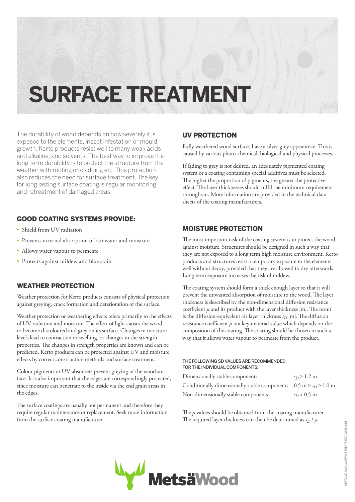# **SURFACE TREATMENT**

The durability of wood depends on how severely it is exposed to the elements, insect infestation or mould growth. Kerto products resist well to many weak acids and alkaline, and solvents. The best way to improve the long-term durability is to protect the structure from the weather with roofing or cladding etc. This protection also reduces the need for surface treatment. The key for long lasting surface coating is regular monitoring and retreatment of damaged areas.

# GOOD COATING SYSTEMS PROVIDE:

- Shield from UV radiation
- Prevents external absorption of rainwater and moisture
- Allows water vapour to permeate
- Protects against mildew and blue stain

### WEATHER PROTECTION

Weather protection for Kerto products consists of physical protection against greying, crack formation and deterioration of the surface.

Weather protection or weathering effects refers primarily to the effects of UV radiation and moisture. The effect of light causes the wood to become discoloured and grey on its surface. Changes in moisture levels lead to contraction or swelling, or changes in the strength properties. The changes in strength properties are known and can be predicted. Kerto products can be protected against UV and moisture effects by correct construction methods and surface treatment.

Colour pigments or UV-absorbers prevent greying of the wood surface. It is also important that the edges are correspondingly protected, since moisture can penetrate to the inside via the end grain areas in the edges.

The surface coatings are usually not permanent and therefore they require regular maintenance or replacement. Seek more information from the surface coating manufacturer.

## UV PROTECTION

Fully weathered wood surfaces have a silver-grey appearance. This is caused by various photo-chemical, biological and physical processes.

If fading to grey is not desired, an adequately pigmented coating system or a coating containing special additives must be selected. The higher the proportion of pigments, the greater the protective effect. The layer thicknesses should fulfil the minimum requirement throughout. More information are provided in the technical data sheets of the coating manufacturers.

# MOISTURE PROTECTION

The most important task of the coating system is to protect the wood against moisture. Structures should be designed in such a way that they are not exposed to a long term high moisture environment. Kerto products and structures resist a temporary exposure to the elements well without decay, provided that they are allowed to dry afterwards. Long term exposure increases the risk of mildew.

The coating system should form a thick enough layer so that it will prevent the unwanted absorption of moisture to the wood. The layer thickness is described by the non-dimensional diffusion resistance coefficient *μ* and its product with the layer thickness [m]. The result is the diffusion-equivalent air layer thickness  $s_D$  [m]. The diffusion resistance coefficient *μ* is a key material value which depends on the composition of the coating. The coating should be chosen in such a way that it allows water vapour to permeate from the product.

#### THE FOLLOWING SD VALUES ARE RECOMMENDED FOR THE INDIVIDUAL COMPONENTS:

| Dimensionally stable components                                                         | $s_D \geq 1.2$ m |
|-----------------------------------------------------------------------------------------|------------------|
| Conditionally dimensionally stable components $0.5 \text{ m} \ge s_D \ge 1.0 \text{ m}$ |                  |
| Non-dimensionally stable components                                                     | $s_D < 0.5$ m    |

The *μ* values should be obtained from the coating manufacturer. The required layer thickness can then be determined as  $s_D / \mu$ .

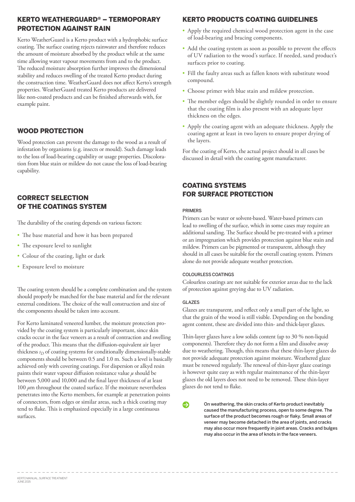## KERTO WEATHERGUARD® – TERMOPORARY PROTECTION AGAINST RAIN

Kerto WeatherGuard is a Kerto product with a hydrophobic surface coating. The surface coating rejects rainwater and therefore reduces the amount of moisture absorbed by the product while at the same time allowing water vapour movements from and to the product. The reduced moisture absorption further improves the dimensional stability and reduces swelling of the treated Kerto product during the construction time. WeatherGuard does not affect Kerto's strength properties. WeatherGuard treated Kerto products are delivered like non-coated products and can be finished afterwards with, for example paint.

### WOOD PROTECTION

Wood protection can prevent the damage to the wood as a result of infestation by organisms (e.g. insects or mould). Such damage leads to the loss of load-bearing capability or usage properties. Discoloration from blue stain or mildew do not cause the loss of load-bearing capability.

## CORRECT SELECTION OF THE COATINGS SYSTEM

The durability of the coating depends on various factors:

- The base material and how it has been prepared
- The exposure level to sunlight
- Colour of the coating, light or dark
- Exposure level to moisture

The coating system should be a complete combination and the system should properly be matched for the base material and for the relevant external conditions. The choice of the wall construction and size of the components should be taken into account.

For Kerto laminated veneered lumber, the moisture protection provided by the coating system is particularly important, since skin cracks occur in the face veneers as a result of contraction and swelling of the product. This means that the diffusion-equivalent air layer thickness  $s_D$  of coating systems for conditionally dimensionally-stable components should be between 0.5 and 1.0 m. Such a level is basically achieved only with covering coatings. For dispersion or alkyd resin paints their water vapour diffusion resistance value *μ* should be between 5,000 and 10,000 and the final layer thickness of at least 100 *μ*m throughout the coated surface. If the moisture nevertheless penetrates into the Kerto members, for example at penetration points of connectors, from edges or similar areas, such a thick coating may tend to flake. This is emphasized especially in a large continuous surfaces.

## KERTO PRODUCTS COATING GUIDELINES

- Apply the required chemical wood protection agent in the case of load-bearing and bracing components.
- Add the coating system as soon as possible to prevent the effects of UV radiation to the wood's surface. If needed, sand product's surfaces prior to coating.
- • Fill the faulty areas such as fallen knots with substitute wood compound.
- Choose primer with blue stain and mildew protection.
- The member edges should be slightly rounded in order to ensure that the coating film is also present with an adequate layer thickness on the edges.
- • Apply the coating agent with an adequate thickness. Apply the coating agent at least in two layers to ensure proper drying of the layers.

For the coating of Kerto, the actual project should in all cases be discussed in detail with the coating agent manufacturer.

## COATING SYSTEMS FOR SURFACE PROTECTION

#### **PRIMERS**

Primers can be water or solvent-based. Water-based primers can lead to swelling of the surface, which in some cases may require an additional sanding. The Surface should be pre-treated with a primer or an impregnation which provides protection against blue stain and mildew. Primers can be pigmented or transparent, although they should in all cases be suitable for the overall coating system. Primers alone do not provide adequate weather protection.

#### COLOURLESS COATINGS

Colourless coatings are not suitable for exterior areas due to the lack of protection against greying due to UV radiation.

#### GLAZES

Glazes are transparent, and reflect only a small part of the light, so that the grain of the wood is still visible. Depending on the bonding agent content, these are divided into thin- and thick-layer glazes.

Thin-layer glazes have a low solids content (up to 30 % non-liquid components). Therefore they do not form a film and dissolve away due to weathering. Though, this means that these thin-layer glazes do not provide adequate protection against moisture. Weathered glaze must be renewed regularly. The renewal of thin-layer glaze coatings is however quite easy as with regular maintenance of the thin-layer glazes the old layers does not need to be removed. These thin-layer glazes do not tend to flake.

> On weathering, the skin cracks of Kerto product inevitably caused the manufacturing process, open to some degree. The surface of the product becomes rough or flaky. Small areas of veneer may become detached in the area of joints, and cracks may also occur more frequently in joint areas. Cracks and bulges may also occur in the area of knots in the face veneers.